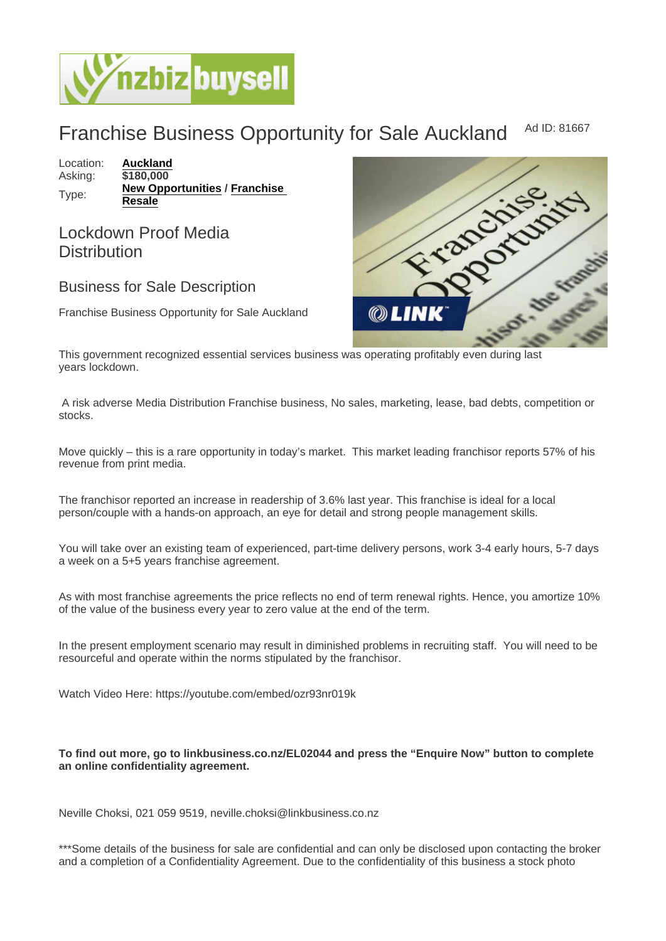## Franchise Business Opportunity for Sale Auckland Ad ID: 81667

Location: [Auckland](https://www.nzbizbuysell.co.nz/businesses-for-sale/location/Auckland) Asking: \$180,000 Type: [New Opportunities](https://www.nzbizbuysell.co.nz/businesses-for-sale/New-Opportunities/New-Zealand) / Franchise [Resale](https://www.nzbizbuysell.co.nz/businesses-for-sale/Franchise-Resale/New-Zealand)

Lockdown Proof Media **Distribution** 

Business for Sale Description

Franchise Business Opportunity for Sale Auckland

This government recognized essential services business was operating profitably even during last years lockdown.

 A risk adverse Media Distribution Franchise business, No sales, marketing, lease, bad debts, competition or stocks.

Move quickly – this is a rare opportunity in today's market. This market leading franchisor reports 57% of his revenue from print media.

The franchisor reported an increase in readership of 3.6% last year. This franchise is ideal for a local person/couple with a hands-on approach, an eye for detail and strong people management skills.

You will take over an existing team of experienced, part-time delivery persons, work 3-4 early hours, 5-7 days a week on a 5+5 years franchise agreement.

As with most franchise agreements the price reflects no end of term renewal rights. Hence, you amortize 10% of the value of the business every year to zero value at the end of the term.

In the present employment scenario may result in diminished problems in recruiting staff. You will need to be resourceful and operate within the norms stipulated by the franchisor.

Watch Video Here: https://youtube.com/embed/ozr93nr019k

To find out more, go to linkbusiness.co.nz/EL02044 and press the "Enquire Now" button to complete an online confidentiality agreement.

Neville Choksi, 021 059 9519, neville.choksi@linkbusiness.co.nz

\*\*\*Some details of the business for sale are confidential and can only be disclosed upon contacting the broker and a completion of a Confidentiality Agreement. Due to the confidentiality of this business a stock photo